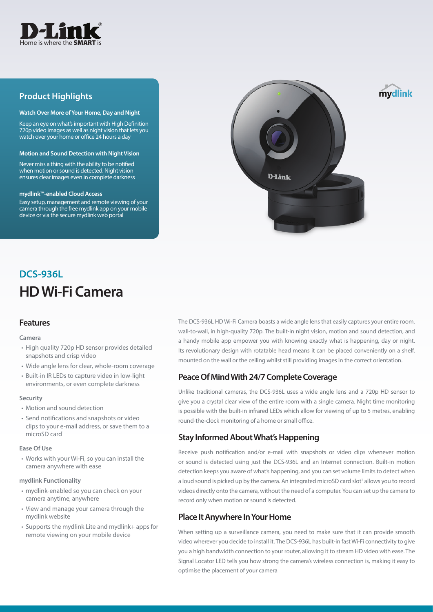

## **Product Highlights**

#### **Watch Over More of Your Home, Day and Night**

Keep an eye on what's important with High Definition 720p video images as well as night vision that lets you watch over your home or office 24 hours a day

#### **Motion and Sound Detection with Night Vision**

Never miss a thing with the ability to be notified when motion or sound is detected. Night vision ensures clear images even in complete darkness

#### **mydlink™-enabled Cloud Access**

Easy setup, management and remote viewing of your camera through the free mydlink app on your mobile device or via the secure mydlink web portal



# **HD Wi-Fi Camera DCS-936L**

#### **Features**

#### **Camera**

- High quality 720p HD sensor provides detailed snapshots and crisp video
- Wide angle lens for clear, whole-room coverage
- Built-in IR LEDs to capture video in low-light environments, or even complete darkness

#### **Security**

- Motion and sound detection
- Send notifications and snapshots or video clips to your e-mail address, or save them to a microSD card<sup>1</sup>

#### **Ease Of Use**

• Works with your Wi-Fi, so you can install the camera anywhere with ease

#### **mydlink Functionality**

- mydlink-enabled so you can check on your camera anytime, anywhere
- View and manage your camera through the mydlink website
- Supports the mydlink Lite and mydlink+ apps for remote viewing on your mobile device

The DCS-936L HD Wi-Fi Camera boasts a wide angle lens that easily captures your entire room, wall-to-wall, in high-quality 720p. The built-in night vision, motion and sound detection, and a handy mobile app empower you with knowing exactly what is happening, day or night. Its revolutionary design with rotatable head means it can be placed conveniently on a shelf, mounted on the wall or the ceiling whilst still providing images in the correct orientation.

## **Peace Of Mind With 24/7 Complete Coverage**

Unlike traditional cameras, the DCS-936L uses a wide angle lens and a 720p HD sensor to give you a crystal clear view of the entire room with a single camera. Night time monitoring is possible with the built-in infrared LEDs which allow for viewing of up to 5 metres, enabling round-the-clock monitoring of a home or small office.

## **Stay Informed About What's Happening**

Receive push notification and/or e-mail with snapshots or video clips whenever motion or sound is detected using just the DCS-936L and an Internet connection. Built-in motion detection keeps you aware of what's happening, and you can set volume limits to detect when a loud sound is picked up by the camera. An integrated microSD card slot<sup>1</sup> allows you to record videos directly onto the camera, without the need of a computer. You can set up the camera to record only when motion or sound is detected.

## **Place It Anywhere In Your Home**

When setting up a surveillance camera, you need to make sure that it can provide smooth video wherever you decide to install it. The DCS-936L has built-in fast Wi-Fi connectivity to give you a high bandwidth connection to your router, allowing it to stream HD video with ease. The Signal Locator LED tells you how strong the camera's wireless connection is, making it easy to optimise the placement of your camera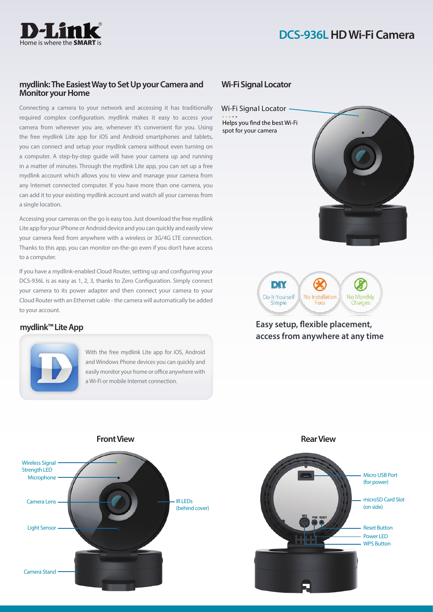

### **mydlink: The Easiest Way to Set Up your Camera and Monitor your Home**

Connecting a camera to your network and accessing it has traditionally required complex configuration. mydlink makes it easy to access your camera from wherever you are, whenever it's convenient for you. Using the free mydlink Lite app for iOS and Android smartphones and tablets, you can connect and setup your mydlink camera without even turning on a computer. A step-by-step guide will have your camera up and running in a matter of minutes. Through the mydlink Lite app, you can set up a free mydlink account which allows you to view and manage your camera from any Internet connected computer. If you have more than one camera, you can add it to your existing mydlink account and watch all your cameras from a single location.

Accessing your cameras on the go is easy too. Just download the free mydlink Lite app for your iPhone or Android device and you can quickly and easily view your camera feed from anywhere with a wireless or 3G/4G LTE connection. Thanks to this app, you can monitor on-the-go even if you don't have access to a computer.

If you have a mydlink-enabled Cloud Router, setting up and configuring your DCS-936L is as easy as 1, 2, 3, thanks to Zero Configuration. Simply connect your camera to its power adapter and then connect your camera to your Cloud Router with an Ethernet cable - the camera will automatically be added to your account.

## **mydlink™ Lite App**



With the free mydlink Lite app for iOS, Android and Windows Phone devices you can quickly and easily monitor your home or office anywhere with a Wi-Fi or mobile Internet connection.

## **Wi-Fi Signal Locator**

Wi-Fi Signal Locator Helps you find the best Wi-Fi spot for your camera





## **Easy setup, flexible placement, access from anywhere at any time**

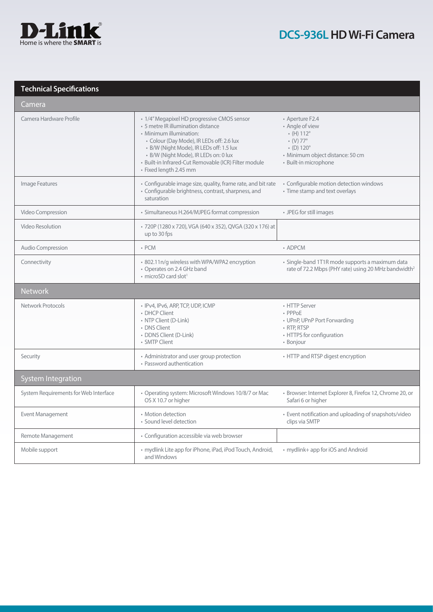

## **Technical Specifications**

| Camera                                |                                                                                                                                                                                                                                                                                                                                   |                                                                                                                                                                                            |  |
|---------------------------------------|-----------------------------------------------------------------------------------------------------------------------------------------------------------------------------------------------------------------------------------------------------------------------------------------------------------------------------------|--------------------------------------------------------------------------------------------------------------------------------------------------------------------------------------------|--|
| Camera Hardware Profile               | • 1/4" Megapixel HD progressive CMOS sensor<br>• 5 metre IR illumination distance<br>• Minimum illumination:<br>· Colour (Day Mode), IR LEDs off: 2.6 lux<br>· B/W (Night Mode), IR LEDs off: 1.5 lux<br>· B/W (Night Mode), IR LEDs on: 0 lux<br>· Built-in Infrared-Cut Removable (ICR) Filter module<br>· Fixed length 2.45 mm | • Aperture F2.4<br>• Angle of view<br>$\cdot$ (H) 112 $^{\circ}$<br>$\bullet$ (V) 77 $^{\circ}$<br>$\cdot$ (D) 120 $^{\circ}$<br>· Minimum object distance: 50 cm<br>· Built-in microphone |  |
| Image Features                        | • Configurable image size, quality, frame rate, and bit rate<br>· Configurable brightness, contrast, sharpness, and<br>saturation                                                                                                                                                                                                 | • Configurable motion detection windows<br>• Time stamp and text overlays                                                                                                                  |  |
| Video Compression                     | • Simultaneous H.264/MJPEG format compression                                                                                                                                                                                                                                                                                     | • JPEG for still images                                                                                                                                                                    |  |
| <b>Video Resolution</b>               | · 720P (1280 x 720), VGA (640 x 352), QVGA (320 x 176) at<br>up to 30 fps                                                                                                                                                                                                                                                         |                                                                                                                                                                                            |  |
| Audio Compression                     | $\cdot$ PCM                                                                                                                                                                                                                                                                                                                       | • ADPCM                                                                                                                                                                                    |  |
| Connectivity                          | · 802.11n/g wireless with WPA/WPA2 encryption<br>• Operates on 2.4 GHz band<br>· microSD card slot <sup>1</sup>                                                                                                                                                                                                                   | • Single-band 1T1R mode supports a maximum data<br>rate of 72.2 Mbps (PHY rate) using 20 MHz bandwidth <sup>2</sup>                                                                        |  |
|                                       |                                                                                                                                                                                                                                                                                                                                   |                                                                                                                                                                                            |  |
| <b>Network</b>                        |                                                                                                                                                                                                                                                                                                                                   |                                                                                                                                                                                            |  |
| Network Protocols                     | · IPv4, IPv6, ARP, TCP, UDP, ICMP<br>• DHCP Client<br>• NTP Client (D-Link)<br>• DNS Client<br>• DDNS Client (D-Link)<br>• SMTP Client                                                                                                                                                                                            | • HTTP Server<br>• PPPoE<br>• UPnP, UPnP Port Forwarding<br>• RTP, RTSP<br>• HTTPS for configuration<br>• Bonjour                                                                          |  |
| Security                              | • Administrator and user group protection<br>• Password authentication                                                                                                                                                                                                                                                            | • HTTP and RTSP digest encryption                                                                                                                                                          |  |
| <b>System Integration</b>             |                                                                                                                                                                                                                                                                                                                                   |                                                                                                                                                                                            |  |
| System Requirements for Web Interface | • Operating system: Microsoft Windows 10/8/7 or Mac<br>OS X 10.7 or higher                                                                                                                                                                                                                                                        | · Browser: Internet Explorer 8, Firefox 12, Chrome 20, or<br>Safari 6 or higher                                                                                                            |  |
| Event Management                      | • Motion detection<br>• Sound level detection                                                                                                                                                                                                                                                                                     | · Event notification and uploading of snapshots/video<br>clips via SMTP                                                                                                                    |  |
| Remote Management                     | • Configuration accessible via web browser                                                                                                                                                                                                                                                                                        |                                                                                                                                                                                            |  |